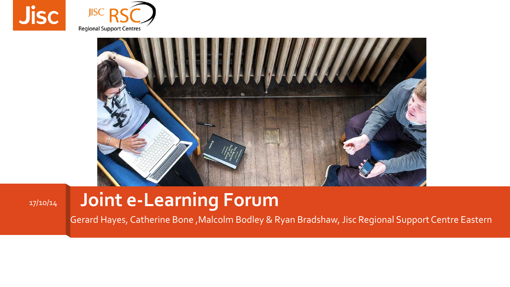





#### 17/10/14 **Joint e-Learning Forum**

Gerard Hayes, Catherine Bone ,Malcolm Bodley & Ryan Bradshaw, Jisc Regional Support Centre Eastern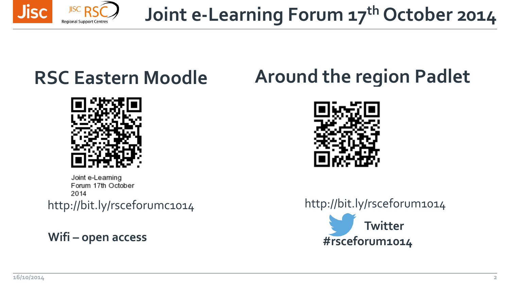

**Joint e-Learning Forum 17th October 2014**

### **RSC Eastern Moodle**



Joint e-Learning Forum 17th October 2014

**Wifi – open access**

#### **Around the region Padlet**



**Twitter #rsceforum1014** http://bit.ly/rsceforumc1014 http://bit.ly/rsceforum1014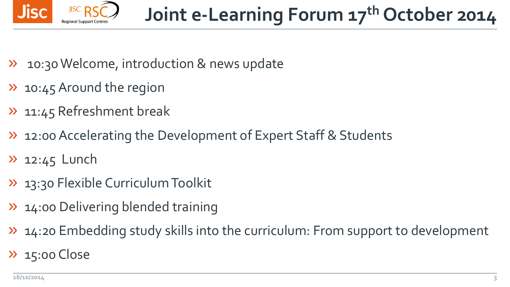

- 10:30 Welcome, introduction & news update
- » 10:45 Around the region
- » 11:45 Refreshment break
- » 12:00 Accelerating the Development of Expert Staff & Students
- $\lambda$  12:45 Lunch
- » 13:30 Flexible Curriculum Toolkit
- » 14:00 Delivering blended training
- » 14:20 Embedding study skills into the curriculum: From support to development
- » 15:00 Close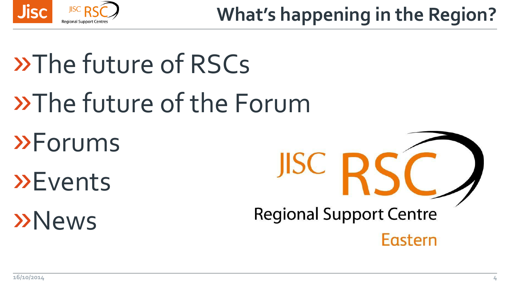

## **What's happening in the Region?**

# »The future of RSCs »The future of the Forum »Forums »Events »News

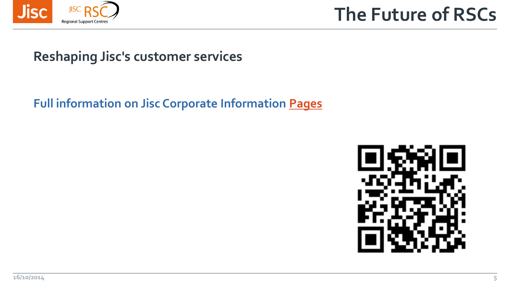

**The Future of RSCs**

#### **Reshaping Jisc's customer services**

**Full information on Jisc Corporate Information [Pages](http://www.jisc.ac.uk/about/corporate/reshaping)**

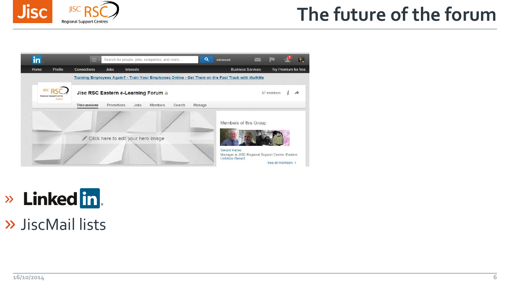

#### **The future of the forum**



### » Linked in.

#### » JiscMail lists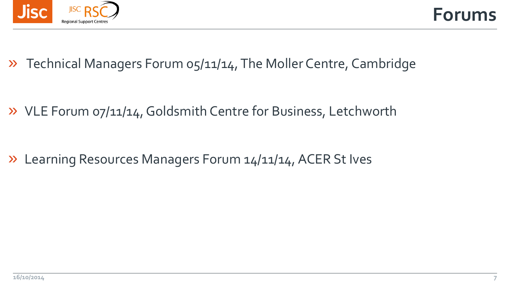

» Technical Managers Forum 05/11/14, The Moller Centre, Cambridge

» VLE Forum 07/11/14, Goldsmith Centre for Business, Letchworth

» Learning Resources Managers Forum 14/11/14, ACER St Ives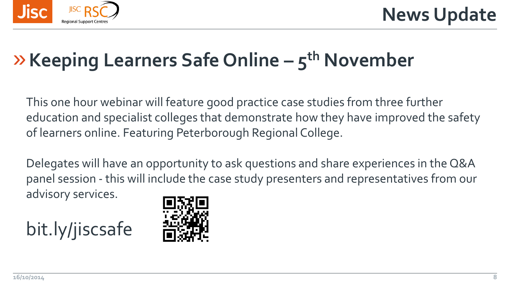

## »**Keeping Learners Safe Online – 5 th November**

This one hour webinar will feature good practice case studies from three further education and specialist colleges that demonstrate how they have improved the safety of learners online. Featuring Peterborough Regional College.

Delegates will have an opportunity to ask questions and share experiences in the Q&A panel session - this will include the case study presenters and representatives from our advisory services.



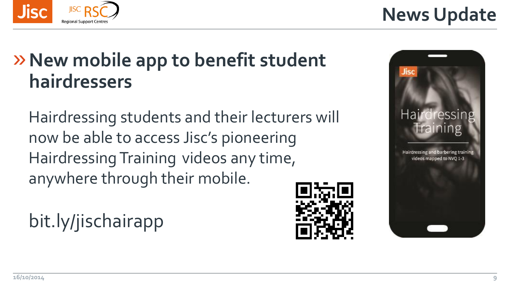#### »**New mobile app to benefit student hairdressers**

Hairdressing students and their lecturers will now be able to access Jisc's pioneering Hairdressing Training videos any time, anywhere through their mobile.

bit.ly/jischairapp





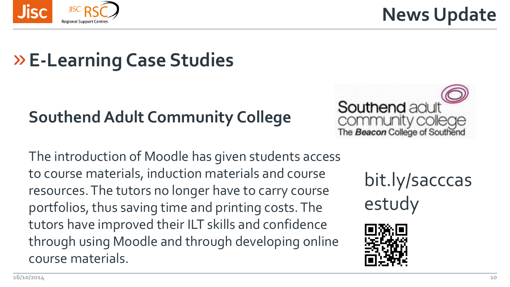

**News Update**

### » **E-Learning Case Studies**

#### **Southend Adult Community College**

The introduction of Moodle has given students access to course materials, induction materials and course resources. The tutors no longer have to carry course portfolios, thus saving time and printing costs. The tutors have improved their ILT skills and confidence through using Moodle and through developing online course materials.



bit.ly/sacccas estudy

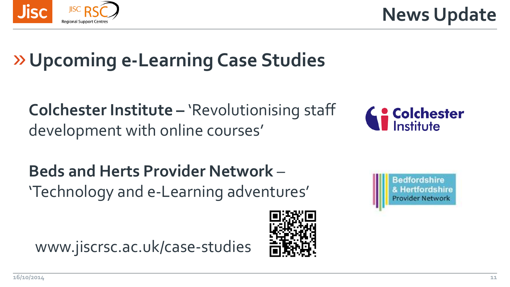

**News Update**

## » **Upcoming e-Learning Case Studies**

**Colchester Institute –** 'Revolutionising staff development with online courses'



**Beds and Herts Provider Network** – 'Technology and e-Learning adventures'

www.jiscrsc.ac.uk/case-studies



Bedfordshire **& Hertfordshire** Provider Network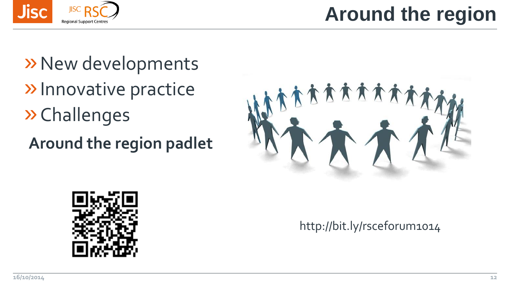**Jisc** 

**Regional Support Centre** 

## » New developments »Innovative practice »Challenges

**Around the region padlet**



http://bit.ly/rsceforum1014



## **Around the region**